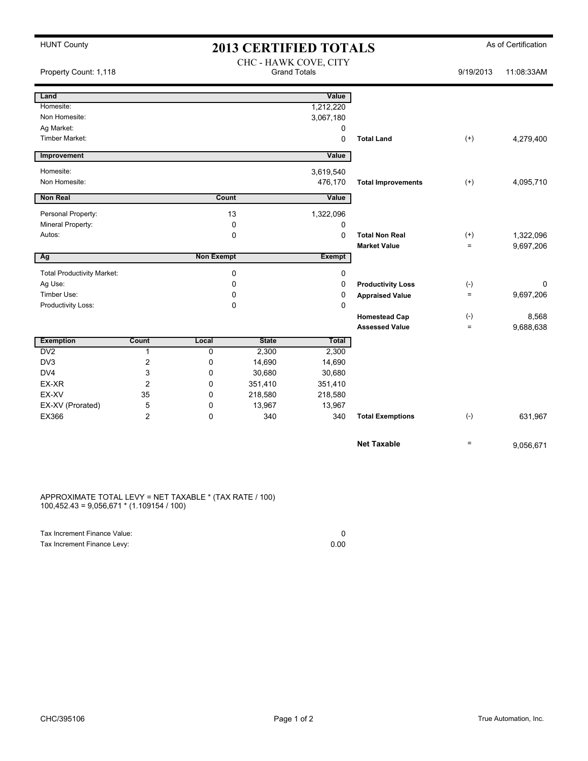| <b>HUNT County</b>                |                |                   | <b>2013 CERTIFIED TOTALS</b> | As of Certification                          |                           |                   |            |
|-----------------------------------|----------------|-------------------|------------------------------|----------------------------------------------|---------------------------|-------------------|------------|
| Property Count: 1,118             |                |                   |                              | CHC - HAWK COVE, CITY<br><b>Grand Totals</b> |                           | 9/19/2013         | 11:08:33AM |
| Land                              |                |                   |                              | Value                                        |                           |                   |            |
| Homesite:                         |                |                   |                              | 1,212,220                                    |                           |                   |            |
| Non Homesite:                     |                |                   |                              | 3,067,180                                    |                           |                   |            |
| Ag Market:                        |                |                   |                              | 0                                            |                           |                   |            |
| <b>Timber Market:</b>             |                |                   |                              | $\mathbf 0$                                  | <b>Total Land</b>         | $(+)$             | 4,279,400  |
| Improvement                       |                |                   |                              | Value                                        |                           |                   |            |
| Homesite:                         |                |                   |                              | 3,619,540                                    |                           |                   |            |
| Non Homesite:                     |                |                   |                              | 476,170                                      | <b>Total Improvements</b> | $(+)$             | 4,095,710  |
| Non Real                          |                | Count             |                              | Value                                        |                           |                   |            |
| Personal Property:                |                |                   | 13                           | 1,322,096                                    |                           |                   |            |
| Mineral Property:                 |                |                   | 0                            | $\mathbf 0$                                  |                           |                   |            |
| Autos:                            |                |                   | $\mathbf 0$                  | $\Omega$                                     | <b>Total Non Real</b>     | $^{(+)}$          | 1,322,096  |
|                                   |                |                   |                              |                                              | <b>Market Value</b>       | $\qquad \qquad =$ | 9,697,206  |
| Ag                                |                | <b>Non Exempt</b> |                              | <b>Exempt</b>                                |                           |                   |            |
| <b>Total Productivity Market:</b> |                |                   | $\mathbf 0$                  | $\mathbf 0$                                  |                           |                   |            |
| Ag Use:                           |                | 0                 |                              | 0                                            | <b>Productivity Loss</b>  | $(-)$             | 0          |
| Timber Use:                       |                | $\mathbf 0$       |                              | $\mathbf 0$                                  | <b>Appraised Value</b>    | $\qquad \qquad =$ | 9,697,206  |
| Productivity Loss:                |                | $\Omega$          |                              | $\Omega$                                     |                           |                   |            |
|                                   |                |                   |                              |                                              | <b>Homestead Cap</b>      | $(-)$             | 8,568      |
|                                   |                |                   |                              |                                              | <b>Assessed Value</b>     | $\qquad \qquad =$ | 9,688,638  |
| <b>Exemption</b>                  | Count          | Local             | <b>State</b>                 | Total                                        |                           |                   |            |
| D <sub>V</sub>                    | $\mathbf{1}$   | 0                 | 2,300                        | 2,300                                        |                           |                   |            |
| DV3                               | 2              | 0                 | 14,690                       | 14,690                                       |                           |                   |            |
| DV4                               | 3              | 0                 | 30,680                       | 30,680                                       |                           |                   |            |
| EX-XR                             | $\overline{2}$ | 0                 | 351,410                      | 351,410                                      |                           |                   |            |
| EX-XV                             | 35             | 0                 | 218,580                      | 218,580                                      |                           |                   |            |
| EX-XV (Prorated)                  | 5              | 0                 | 13,967                       | 13,967                                       |                           |                   |            |
| EX366                             | 2              | 0                 | 340                          | 340                                          | <b>Total Exemptions</b>   | $(-)$             | 631,967    |
|                                   |                |                   |                              |                                              | <b>Net Taxable</b>        | $\qquad \qquad =$ | 9,056,671  |
|                                   |                |                   |                              |                                              |                           |                   |            |

APPROXIMATE TOTAL LEVY = NET TAXABLE \* (TAX RATE / 100) 100,452.43 = 9,056,671 \* (1.109154 / 100)

| Tax Increment Finance Value: |      |
|------------------------------|------|
| Tax Increment Finance Levy:  | 0.00 |